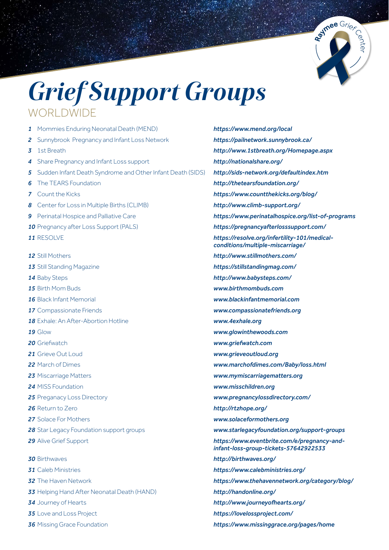

## *Grief Support Groups* WORLDWIDE

- Mommies Enduring Neonatal Death (MEND) *https://www.mend.org/local* Sunnybrook Pregnancy and Infant Loss Network *https://pailnetwork.sunnybrook.ca/* 1st Breath *http://www.1stbreath.org/Homepage.aspx* Share Pregnancy and Infant Loss support *http://nationalshare.org/* Sudden Infant Death Syndrome and Other Infant Death (SIDS) *http://sids-network.org/defaultindex.htm* The TEARS Foundation *http://thetearsfoundation.org/* Count the Kicks *https://www.countthekicks.org/blog/* Center for Loss in Multiple Births (CLIMB) *http://www.climb-support.org/* Perinatal Hospice and Palliative Care *https://www.perinatalhospice.org/list-of-programs* Pregnancy after Loss Support (PALS) *https://pregnancyafterlosssupport.com/* RESOLVE *https://resolve.org/infertility-101/medical-*  Still Mothers *http://www.stillmothers.com/* Still Standing Magazine *https://stillstandingmag.com/* Baby Steps *http://www.babysteps.com/* Birth Mom Buds *www.birthmombuds.com* Black Infant Memorial *www.blackinfantmemorial.com* Compassionate Friends *www.compassionatefriends.org* Exhale: An After-Abortion Hotline *www.4exhale.org* Glow *www.glowinthewoods.com* Griefwatch *www.griefwatch.com* Grieve Out Loud *www.grieveoutloud.org* March of Dimes *www.marchofdimes.com/Baby/loss.html* Miscarriage Matters *www.mymiscarriagematters.org*  MISS Foundation *www.misschildren.org* Preganacy Loss Directory *www.pregnancylossdirectory.com/* Return to Zero *http://rtzhope.org/* Solace For Mothers *www.solaceformothers.org* Star Legacy Foundation support groups *www.starlegacyfoundation.org/support-groups* Alive Grief Support *https://www.eventbrite.com/e/pregnancy-and-*  Birthwaves *http://birthwaves.org/* Caleb Ministries *https://www.calebministries.org/* The Haven Network *https://www.thehavennetwork.org/category/blog/* Helping Hand After Neonatal Death (HAND) *http://handonline.org/* Journey of Hearts *http://www.journeyofhearts.org/* Love and Loss Project *https://lovelossproject.com/*
- 
- *conditions/multiple-miscarriage/ infant-loss-group-tickets-57642922533*
- Missing Grace Foundation *https://www.missinggrace.org/pages/home*